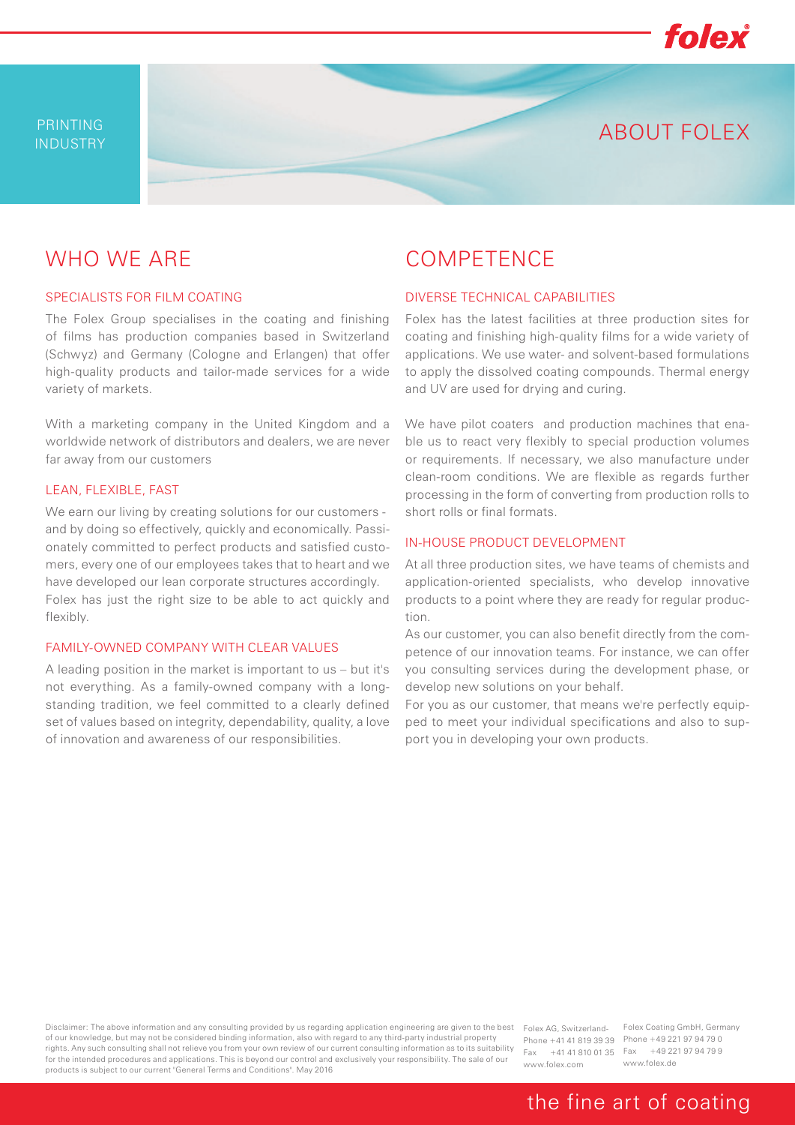

ABOUT FOLEX

# WHO WE ARE

#### SPECIALISTS FOR FILM COATING

The Folex Group specialises in the coating and finishing of films has production companies based in Switzerland (Schwyz) and Germany (Cologne and Erlangen) that offer high-quality products and tailor-made services for a wide variety of markets.

With a marketing company in the United Kingdom and a worldwide network of distributors and dealers, we are never far away from our customers

#### LEAN, FLEXIBLE, FAST

We earn our living by creating solutions for our customers and by doing so effectively, quickly and economically. Passionately committed to perfect products and satisfied customers, every one of our employees takes that to heart and we have developed our lean corporate structures accordingly. Folex has just the right size to be able to act quickly and flexibly.

#### FAMILY-OWNED COMPANY WITH CLEAR VALUES

A leading position in the market is important to us – but it's not everything. As a family-owned company with a longstanding tradition, we feel committed to a clearly defined set of values based on integrity, dependability, quality, a love of innovation and awareness of our responsibilities.

### COMPETENCE

#### DIVERSE TECHNICAL CAPABILITIES

Folex has the latest facilities at three production sites for coating and finishing high-quality films for a wide variety of applications. We use water- and solvent-based formulations to apply the dissolved coating compounds. Thermal energy and UV are used for drying and curing.

We have pilot coaters and production machines that enable us to react very flexibly to special production volumes or requirements. If necessary, we also manufacture under clean-room conditions. We are flexible as regards further processing in the form of converting from production rolls to short rolls or final formats.

### IN-HOUSE PRODUCT DEVELOPMENT

At all three production sites, we have teams of chemists and application-oriented specialists, who develop innovative products to a point where they are ready for regular production.

As our customer, you can also benefit directly from the competence of our innovation teams. For instance, we can offer you consulting services during the development phase, or develop new solutions on your behalf.

For you as our customer, that means we're perfectly equipped to meet your individual specifications and also to support you in developing your own products.

Disclaimer: The above information and any consulting provided by us regarding application engineering are given to the best Folex AG, Switzerlandof our knowledge, but may not be considered binding information, also with regard to any third-party industrial property rights. Any such consulting shall not relieve you from your own review of our current consulting information as to its suitability for the intended procedures and applications. This is beyond our control and exclusively your responsibility. The sale of our products is subject to our current "General Terms and Conditions". May 2016

Phone +41 41 819 39 39 Phone +49 221 97 94 79 0 www.folex.com

Fax +41 41 810 01 35 Fax +49 221 97 94 79 9 Folex Coating GmbH, Germany www.folex.de

## the fine art of coating